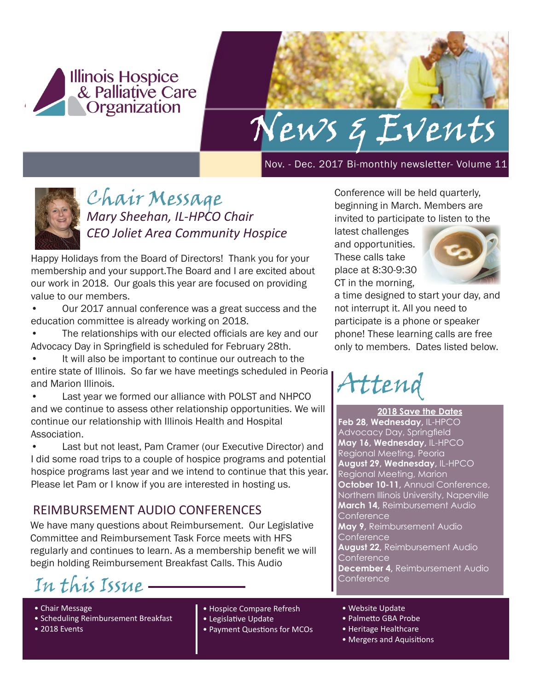



Nov. - Dec. 2017 Bi-monthly newsletter- Volume 11



## Chair Message *Mary Sheehan, IL-HPCO Chair CEO Joliet Area Community Hospice*

Happy Holidays from the Board of Directors! Thank you for your membership and your support.The Board and I are excited about our work in 2018. Our goals this year are focused on providing value to our members.

- Our 2017 annual conference was a great success and the education committee is already working on 2018.
- The relationships with our elected officials are key and our Advocacy Day in Springfield is scheduled for February 28th.
- It will also be important to continue our outreach to the entire state of Illinois. So far we have meetings scheduled in Peoria and Marion Illinois.
- Last year we formed our alliance with POLST and NHPCO and we continue to assess other relationship opportunities. We will continue our relationship with Illinois Health and Hospital Association.
- Last but not least, Pam Cramer (our Executive Director) and I did some road trips to a couple of hospice programs and potential hospice programs last year and we intend to continue that this year. Please let Pam or I know if you are interested in hosting us.

### REIMBURSEMENT AUDIO CONFERENCES

We have many questions about Reimbursement. Our Legislative Committee and Reimbursement Task Force meets with HFS regularly and continues to learn. As a membership benefit we will begin holding Reimbursement Breakfast Calls. This Audio

Conference In this Issue

- Chair Message
- Scheduling Reimbursement Breakfast
- 2018 Events
- Hospice Compare Refresh
- Legislative Update
- Payment Questions for MCOs

Conference will be held quarterly, beginning in March. Members are invited to participate to listen to the

latest challenges and opportunities. These calls take place at 8:30-9:30 CT in the morning,



a time designed to start your day, and not interrupt it. All you need to participate is a phone or speaker phone! These learning calls are free only to members. Dates listed below.

Attend

**2018 Save the Dates Feb 28, Wednesday,** IL-HPCO Advocacy Day, Springfield **May 16, Wednesday,** IL-HPCO Regional Meeting, Peoria **August 29, Wednesday,** IL-HPCO Regional Meeting, Marion **October 10-11, Annual Conference,** Northern Illinois University, Naperville **March 14,** Reimbursement Audio **Conference May 9,** Reimbursement Audio **Conference August 22,** Reimbursement Audio Conference **December 4,** Reimbursement Audio

- Website Update
- Palmetto GBA Probe
- Heritage Healthcare
- Mergers and Aquisitions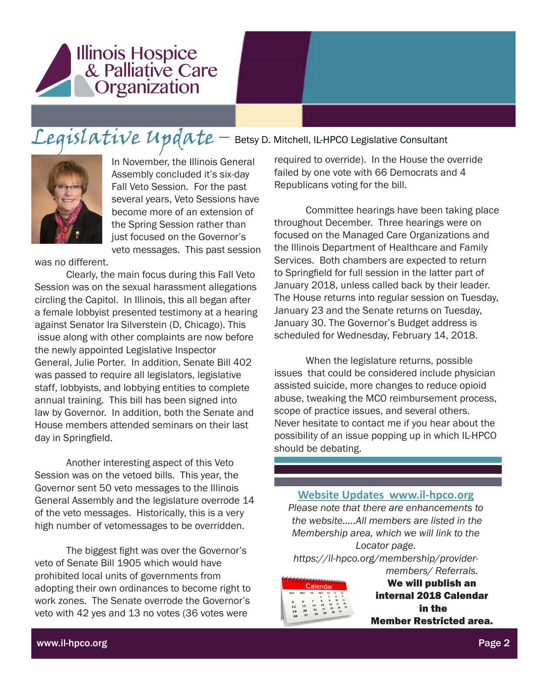

# Legislative Update – Betsy D. Mitchell, IL-HPCO Legislative Consultant



In November, the Illinois General Assembly concluded it's six-day Fall Veto Session. For the past several years, Veto Sessions have become more of an extension of the Spring Session rather than just focused on the Governor's veto messages. This past session

was no different.

Clearly, the main focus during this Fall Veto Session was on the sexual harassment allegations circling the Capitol. In Illinois, this all began after a female lobbyist presented testimony at a hearing against Senator Ira Silverstein (D, Chicago). This issue along with other complaints are now before the newly appointed Legislative Inspector General, Julie Porter. In addition, Senate Bill 402 was passed to require all legislators, legislative staff, lobbyists, and lobbying entities to complete annual training. This bill has been signed into law by Governor. In addition, both the Senate and House members attended seminars on their last day in Springfield.

Another interesting aspect of this Veto Session was on the vetoed bills. This year, the Governor sent 50 veto messages to the Illinois General Assembly and the legislature overrode 14 of the veto messages. Historically, this is a very high number of vetomessages to be overridden.

The biggest fight was over the Governor's veto of Senate Bill 1905 which would have prohibited local units of governments from adopting their own ordinances to become right to work zones. The Senate overrode the Governor's veto with 42 yes and 13 no votes (36 votes were

required to override). In the House the override failed by one vote with 66 Democrats and 4 Republicans voting for the bill.

Committee hearings have been taking place throughout December. Three hearings were on focused on the Managed Care Organizations and the Illinois Department of Healthcare and Family Services. Both chambers are expected to return to Springfield for full session in the latter part of January 2018, unless called back by their leader. The House returns into regular session on Tuesday, January 23 and the Senate returns on Tuesday, January 30. The Governor's Budget address is scheduled for Wednesday, February 14, 2018.

When the legislature returns, possible issues that could be considered include physician assisted suicide, more changes to reduce opioid abuse, tweaking the MCO reimbursement process, scope of practice issues, and several others. Never hesitate to contact me if you hear about the possibility of an issue popping up in which IL-HPCO should be debating.

#### **Website Updates www.il-hpco.org**

*Please note that there are enhancements to the website…..All members are listed in the Membership area, which we will link to the Locator page.* 

*https://il-hpco.org/membership/providermembers/ Referrals.*



We will publish an internal 2018 Calendar in the Member Restricted area.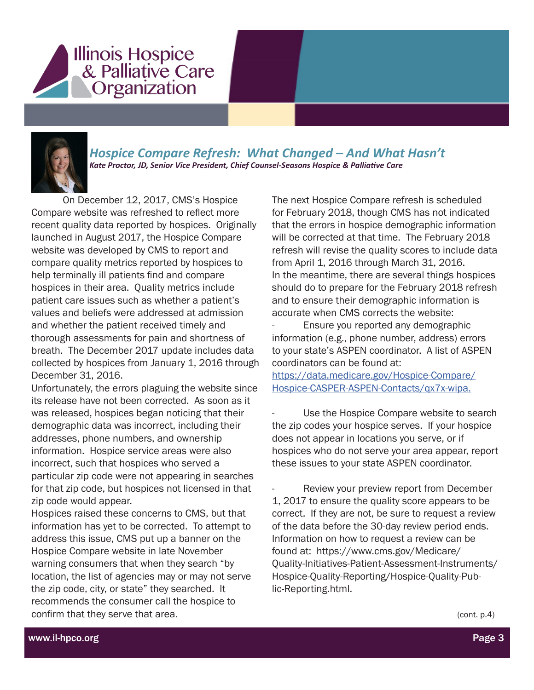



*Hospice Compare Refresh: What Changed – And What Hasn't Kate Proctor, JD, Senior Vice President, Chief Counsel-Seasons Hospice & Palliative Care* 

On December 12, 2017, CMS's Hospice Compare website was refreshed to reflect more recent quality data reported by hospices. Originally launched in August 2017, the Hospice Compare website was developed by CMS to report and compare quality metrics reported by hospices to help terminally ill patients find and compare hospices in their area. Quality metrics include patient care issues such as whether a patient's values and beliefs were addressed at admission and whether the patient received timely and thorough assessments for pain and shortness of breath. The December 2017 update includes data collected by hospices from January 1, 2016 through December 31, 2016.

Unfortunately, the errors plaguing the website since its release have not been corrected. As soon as it was released, hospices began noticing that their demographic data was incorrect, including their addresses, phone numbers, and ownership information. Hospice service areas were also incorrect, such that hospices who served a particular zip code were not appearing in searches for that zip code, but hospices not licensed in that zip code would appear.

Hospices raised these concerns to CMS, but that information has yet to be corrected. To attempt to address this issue, CMS put up a banner on the Hospice Compare website in late November warning consumers that when they search "by location, the list of agencies may or may not serve the zip code, city, or state" they searched. It recommends the consumer call the hospice to confirm that they serve that area.

The next Hospice Compare refresh is scheduled for February 2018, though CMS has not indicated that the errors in hospice demographic information will be corrected at that time. The February 2018 refresh will revise the quality scores to include data from April 1, 2016 through March 31, 2016. In the meantime, there are several things hospices should do to prepare for the February 2018 refresh and to ensure their demographic information is accurate when CMS corrects the website:

Ensure you reported any demographic information (e.g., phone number, address) errors to your state's ASPEN coordinator. A list of ASPEN coordinators can be found at:

https://data.medicare.gov/Hospice-Compare/ Hospice-CASPER-ASPEN-Contacts/qx7x-wipa.

Use the Hospice Compare website to search the zip codes your hospice serves. If your hospice does not appear in locations you serve, or if hospices who do not serve your area appear, report these issues to your state ASPEN coordinator.

Review your preview report from December 1, 2017 to ensure the quality score appears to be correct. If they are not, be sure to request a review of the data before the 30-day review period ends. Information on how to request a review can be found at: https://www.cms.gov/Medicare/ Quality-Initiatives-Patient-Assessment-Instruments/ Hospice-Quality-Reporting/Hospice-Quality-Public-Reporting.html.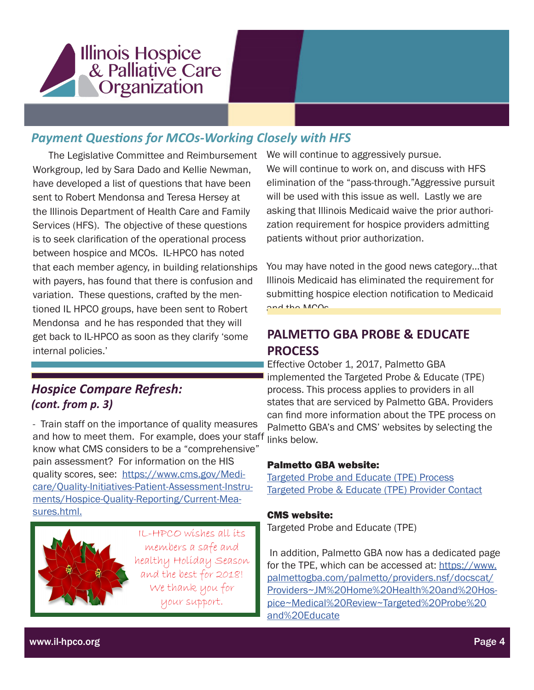

## *Payment Questions for MCOs-Working Closely with HFS*

 The Legislative Committee and Reimbursement Workgroup, led by Sara Dado and Kellie Newman, have developed a list of questions that have been sent to Robert Mendonsa and Teresa Hersey at the Illinois Department of Health Care and Family Services (HFS). The objective of these questions is to seek clarification of the operational process between hospice and MCOs. IL-HPCO has noted that each member agency, in building relationships with payers, has found that there is confusion and variation. These questions, crafted by the mentioned IL HPCO groups, have been sent to Robert Mendonsa and he has responded that they will get back to IL-HPCO as soon as they clarify 'some internal policies.'

#### *Hospice Compare Refresh: (cont. from p. 3)*

- Train staff on the importance of quality measures and how to meet them. For example, does your staff links below. know what CMS considers to be a "comprehensive" pain assessment? For information on the HIS quality scores, see: https://www.cms.gov/Medicare/Quality-Initiatives-Patient-Assessment-Instruments/Hospice-Quality-Reporting/Current-Measures.html.



IL-HPCO wishes all its members a safe and healthy Holiday Season and the best for 2018! We thank you for your support.

We will continue to aggressively pursue. We will continue to work on, and discuss with HFS elimination of the "pass-through."Aggressive pursuit will be used with this issue as well. Lastly we are asking that Illinois Medicaid waive the prior authorization requirement for hospice providers admitting patients without prior authorization.

You may have noted in the good news category…that Illinois Medicaid has eliminated the requirement for submitting hospice election notification to Medicaid and the MCOs

## **PALMETTO GBA PROBE & EDUCATE PROCESS**

Effective October 1, 2017, Palmetto GBA implemented the Targeted Probe & Educate (TPE) process. This process applies to providers in all states that are serviced by Palmetto GBA. Providers can find more information about the TPE process on Palmetto GBA's and CMS' websites by selecting the

#### Palmetto GBA website:

Targeted Probe and Educate (TPE) Process Targeted Probe & Educate (TPE) Provider Contact

#### CMS website:

Targeted Probe and Educate (TPE)

 In addition, Palmetto GBA now has a dedicated page for the TPE, which can be accessed at: https://www. palmettogba.com/palmetto/providers.nsf/docscat/ Providers~JM%20Home%20Health%20and%20Hospice~Medical%20Review~Targeted%20Probe%20 and%20Educate